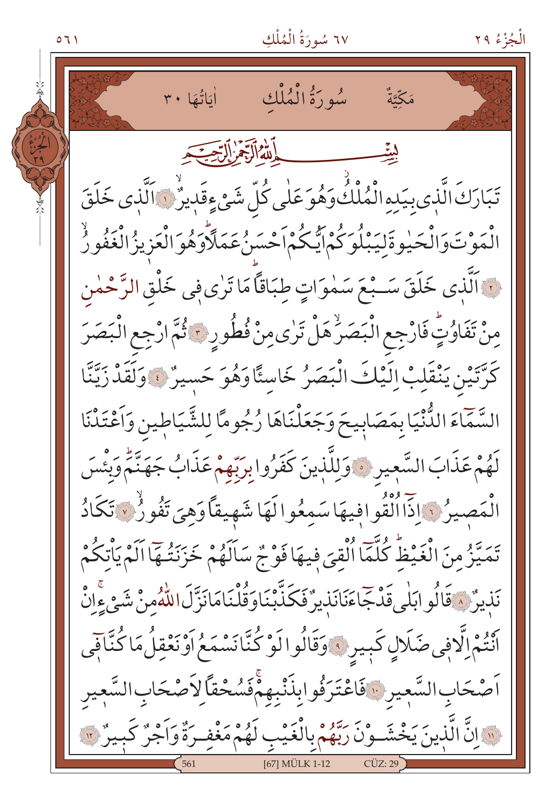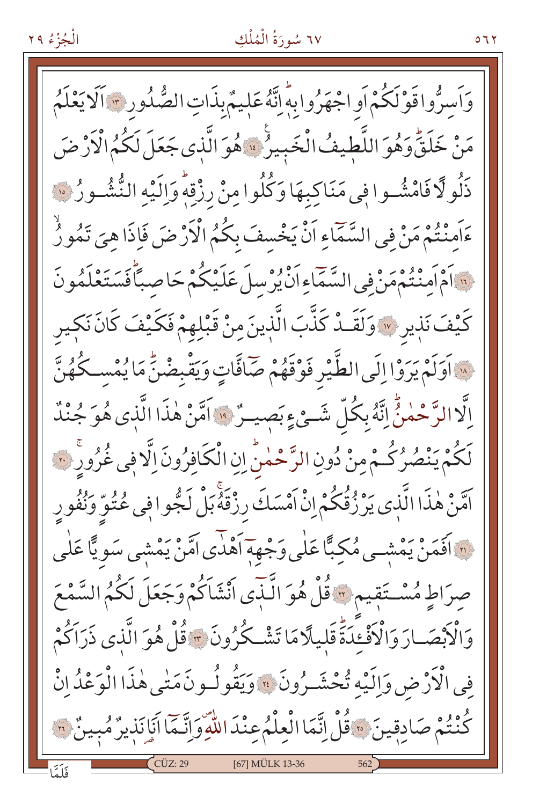#### ٦٧ سُورَةُ الْمُلْكِ

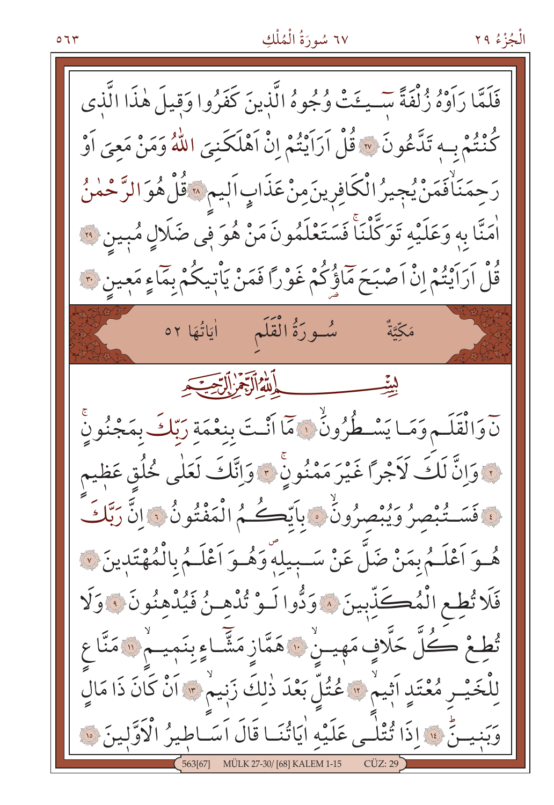#### ٦٧ سُورَةُ الْمُلْكِ

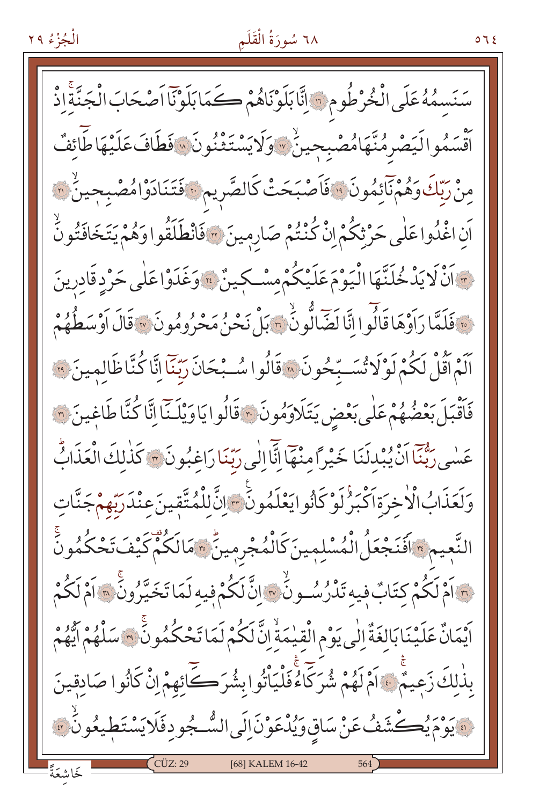### ٦٨ سُورَةُ الْقَلَمِ

سَنَسِمُهُ عَلَى الْخُرْطُومِ ؟ إِنَّابَلَوْنَاهُمْ كَمَابَلَوْنَا اَصْحَابَ الْجَنَّةَ إِذْ أَقْسَمُوالَيَصْرِمُنَّهَامُصْبِحِينٌ \* وَلَايَسْتَثْنُونَ \* فَطَافَ عَلَيْهَا طَائِفٌ مِنْ رَبِّكَ وَهُمْنَآئِمُونَ ۚ فَاَصْبَحَتْ كَالصَّرِيمِ ۚ فَتَنَادَوْامُصْبِحِينٌ ۚ ﴾ اَن اغْذُوا عَلٰى حَرْثِكُمْ إِنْ كُنْتُمْ صَارِمِينَ ؟ فَانْطَلَقُوا وَهُمْ يَتَخَافَتُونَّ وَانْ لَا يَدْخُلَنَّهَا الْيَوْمَ عَلَيْكُمْ مِسْكِينٌ ﴾ وَغَدَوْا عَلَى حَرْدِقَادِرِينَ نَ فَلَمَّا رَاَوْهَا قَالُوا انَّا لَضَّالُّونُ ٣٠ بَلْ نَحْنُ مَحْرُومُونَ ٣٠ قَالَ اَوْسَطُهُمْ اَلَمْ أَقُلْ لَكُمْ لَوْلَا تُسَبِّحُونَ ۞ قَالُوا سُبْحَانَ رَبِّنَا إِنَّا كُنَّاظَالِمِينَ ۞ فَأَقْبَلَ بَعْضُهُمْ عَلَى بَعْضٍ يَتَلَاوَهُونَ ﴾ قَالُوا يَاوَيْلَنَّا إِنَّا كُنَّا طَاغِينَ ۞ عَسٰى رَبُّنَا انْ يُبْدِلَنَا خَيْراً منْهَا إِنَّا إِلَى رَبِّنَا رَاغِبُونَ ۞ كَذٰلِكَ الْعَذَابُّ وَلَعَذَابُ الْأَخِرَةِ اَكْبَرُكَوْكَأْنُوايَعْلَمُونَ<sup>ّى.</sup> إِنَّ لِلْمُتَّقِينَ عِنْدَرَبَّهِمْجَنَّاتِ النَّعِيمِ ﴾ افَنَجْعَلُ الْمُسْلِمِينَ كَالْمُجْرِمِينٌ ﴾ مَالَكُمْ كَيْفَ تَحْكُمُونَ نَّ اَمْ لَكُمْ كِتَابٌ فِيهِ تَدْرُسُونُ ۞ إِنَّ لَكُمْ فِيهِ لَمَا تَخَيَّرُونَ ۞ اَمْ لَكُمْ اَيْمَانٌ عَلَيْنَا بَالغَةٌ إِلَى يَوْمِ الْقِيْمَةْ إِنَّ لَكُمْ لَمَا تَحْكُمُونَ \* سَلْهُمْ أَيُّهُمْ بِذٰلِكَ زَعِيمٌ ﴾ أَمْ لَهُمْ شُرَكّاًءُ فَلْيَأْتُوا بِشُرَكَّائِهِمْ إِنْ كَانُوا صَادِقِينَ وَيُومَ يُصَّشَفُ عَنْ سَاقِ وَيُدْعَوْنَ إِلَى السُّجُودِفَلَايَسْتَطِيعُونُ ؟ [68] KALEM 16-42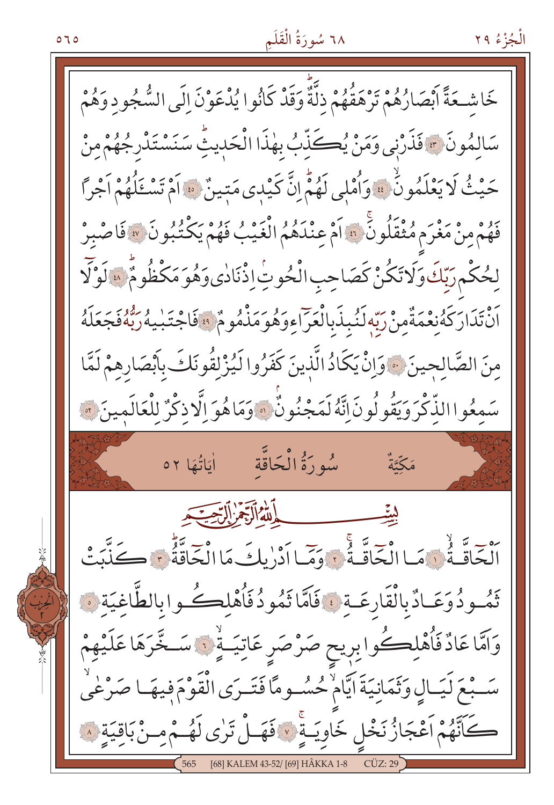## ٦٨ سُورَةُ الْقَلَمِ

خَاشْـحَةً أَبْصَارُهُمْ تَرْهَقُهُمْ ذِلَّةٌ وَقَدْ كَانُوا يُدْعَوْنَ الَى السُّجُودِ وَهُمْ سَالِمُونَ ﴾ فَذَرْنِي وَمَنْ يُكَذِّبُ بِهٰذَا الْحَدِيثُ سَنَسْتَدْرِجُهُمْ مِنْ حَيْثُ لَا يَعْلَمُونَٰٓ ۚ وَأُمْلِي لَهُمُّ انَّ كَيْدِي مَتِينٌ ۚ وَ أَمْ تَسْخَلُهُمْ اَجْراً فَهُمْ مِنْ مَغْرَمٍ مُثْقَلُونَ ۞ أَمْ عِنْدَهُمُ الْغَيْبُ فَهُمْ يَكْتُبُونَ ۞ فَاصْبِرْ لِحُكْمٍ رَبِّكَ وَلَا تَكُنْ كَصَاحِبِ الْحُوتِٰ إِذْنَادٰى وَهُوَ مَكْظُومٌ ۚ ﴾ لَوْلَا أَنْ تَدَارَكَهُ نِعْمَةٌ مِنْ رَبِّهِ لَنُبِذَبِالْعَرَاءِ وَهُوَ مَذْهُومٌ ۚ وَقَاجْتَبِيهُ رَبُّهُ فَجَعَلَهُ مِنَ الصَّالِحِينَ ﴾ وَإِنْ يَكَادُ الَّذِينَ كَفَرُوا لَيُزْلِقُونَكَ بِأَبْصَارِهِمْ لَمَّا سَمِعُواالذِّكْرَ وَيَقُولُونَ اِنَّهُ لَمَجْنُونٌ ۚ وَمَا هُوَ اِلَّا ذِكْرٌ لِلْعَالَمِينَ \* أَلْجَاقَّهُ فَيَهْ وَالْجَاقَّهُ فَيَهْ وَوَمَيا أَدْرْ بِلُّ مَا الْجَاقَّةُ ٦ كَيْلَنَّ تَمُودُوَعَـادٌبالْقَارِعَـةِ ، فَاَمَّا تَمُودُفَأُهْلِكُـوابالطَّاغيَة ﴿ وَامَّا عَادٌ فَأَهْلِكُوا بِرِيحٍ صَرْصَرِ عَاتِيَـةٍ ۚ لَا سَـخَّرَهَا عَلَيْهِمْ سَـبْعَ لَيَـالٍ وَثَمَانِيَةَ ايَّامٌ حُسُـومًا فَتَـرَى الْقَوْمَ فِيهَـا صَرْعٰىُ كَأَنَّهُمْ أَعْجَازُ نَخْلِ خَاوِيَـةٍ ۚ ﴾ فَهَـلْ تَرٰى لَهُـمْ مِـنْ بَاقِيَةٍ ﴾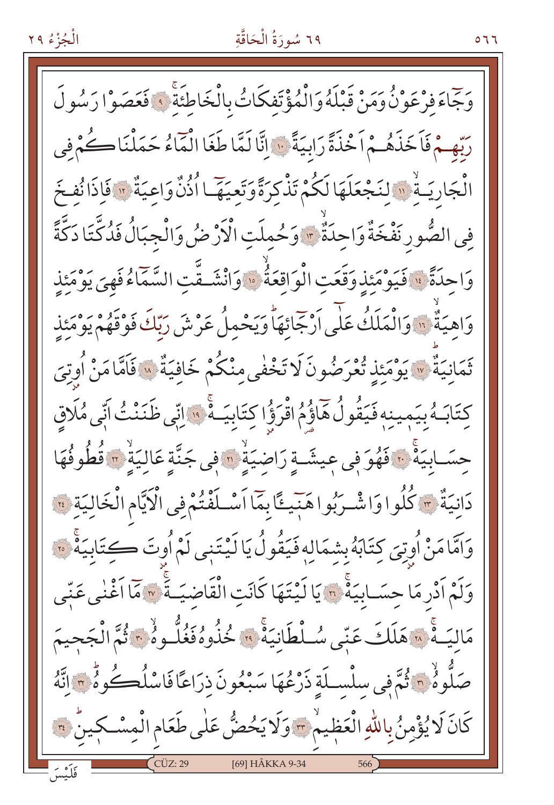#### ٦٩ سُورَةُ الْحَاقَّةِ

7 7 0

وَجَاءَ فِرْعَوْنُ وَمَنْ قَبْلَهُ وَالْمُؤْتَفِكَاتُ بِالْخَاطِئَةَ ۚ فَعَصَوْا رَسُولَ رَبِّهِ مْ فَاَخَذَهُمْ اَخْذَةً رَابِيَةً ۚ لَا إِنَّا لَمَّا طَغَا الْمَاءُ حَمَلْنَا كُمْ فِي الْجَارِيَـةُ ۚ ۚ وَالنَّجْعَلَهَا لَكُمْ تَذْكِرَةً وَتَعْيَهَّـا أُذُنَّ وَاعِيَةٌ ۚ وَالْذَانُفِخَ فِي الصُّورِ نَفْخَةٌ وَاحِدَةٌ \* وَحُمِلَتِ الْأَرْضُ وَالْجِبَالُ فَدُكَّتَا دَكَّةً وَاحِدَةً ۚ ۚ فَيَوْمَئِذِ وَقَعَتِ الْوَاقِعَةُ ۚ وَانْشَـقَّتِ السَّمَاءُفَهِيَ يَوْمَئِذِ وَاهِيَةٌ ۚ إِنَّ وَالْمَلَكُ عَلَى اَرْجَائَهَا وَيَحْمِلُ عَرْشَ رَبِّكَ فَوْقَهُمْ يَوْمَئِذٍ تَمَانِيَةٌ ۞ يَوْمَئِذِ تُعْرَضُونَ لَا تَخْفٰي مِنْكُمْ خَافِيَةٌ ۞ فَاَمَّا مَنْ أُوتِيَ كِتَابَـهُ بِيَمِينِهِ فَيَقُولُ هَاؤُمُ اقْرَؤُا كِتَابِيَــهُۚ ۚ ۚ إِنِّي ظَنَنْتُ اَنِّي مُلَاقِ حِسَــابِيَةً ۚ ۚ ۚ فَهُوَ فِي عِيشَــةٍ رَاضِيَةٍ ۚ ۚ وَ عَنَّ عَالِيَةٍ ۚ ﴾ فَطُوفُهَا دَانِيَةٌ ﴾ كُلُوا وَاشْـرَبُوا هَنِيئًا بِمَا أَسْـلَفْتُمْ فِي الْكَيَّامِ الْخَالِيَةِ ﴾ وَامَّامَنْ أُوتِيَ كِتَابَهُ بِشِمَالِهِ فَيَقُولُ يَا لَيْتَنِي لَمْ أُوتَ كِتَابِيَةٌ ۞ وَلَمْ أَدْرِ مَا حِسَـابِيَةً ۚ لَّ يَا لَيْتَهَا كَانَتِ الْقَاضِيَـةَ ۚ لَهُ مَا أَغْنٰى عَنِّى مَالِيَـهُۚ «َهَلَكَ عَنِّي سُـلْطَانِيَهُۚ ۚ • كُنُوهُ فَغُلُّـوهُ ۚ \* ثُمَّ الْجَحيمَ صَلُّوهُ ٣ ثُمَّ فِي سلْسلَةِ ذَرْعُهَا سَبْعُونَ ذِرَاعًا فَاسْلُكُوهُ ٣ إِنَّهُ كَانَ لَا يُؤْمِنُ بِاللَّهِ الْعَظِيمْ ﴾ وَلَا يَحْضُّ عَلَى طَعَامِ الْمِسْكِينَ ﴾ [69] HÂKKA 9-34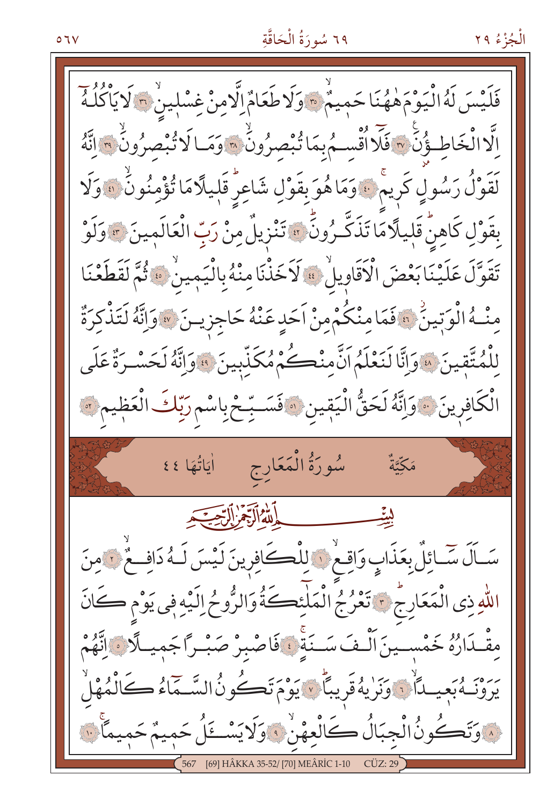# ٦٩ سُورَةُ الْحَاقَّةِ

فَلَيْسَ لَهُ الْيَوْمَهْهُنَا حَمِيمٌ ، وَلَا طَعَامٌ إِلَّامِنْ غِسْلِينٌ ؟ لَا يَأْكُلُهُ اِلَّا الْخَاطِئُ ۚنَ ٣ فَلَا أُقْسِمُ بِمَا تُبْصِرُونَ \* وَمَـا لَا تُبْصِرُونَ \* إِنَّهُ لَقَوْلُ رَسُولٍ كَرِيمٌ ، وَمَا هُوَ بِقَوْلِ شَاعِرٌ قَلٖيلًا مَا تُؤْمِنُونٌ ، وَلَا بِقَوْلِ كَاهِنَّ قَلِيلًا مَا تَذَكَّـرُونَّ ۞ تَنْزِيلٌ مِنْ رَبِّ الْعَالَمِينَ ۞ وَلَوْ تَقَوَّلَ عَلَيْنَا بَعْضَ الْأَقَاوِيلُ \* لَاَخَذْنَا مِنْهُ بِالْيَمِينُ \* ثُمَّ لَقَطَعْنَا مِنْــهُ الْوَتِينُ \* فَمَامِنْكُمْ مِنْ اَحَدٍ عَنْهُ حَاجِزِيــنَ \* وَإِنَّهُ لَتَذْكِرَةٌ لِلْمُتَّقِينَ ۞وَإِنَّا لَنَعْلَمُ اَنَّ مِنْكُمْ مُكَذِّبِينَ ۞وَإِنَّهُ لَحَسْدَةٌ عَلَى الْكَافِرِينَ ﴾ وَإِنَّهُ لَحَقُّ الْيَقِينِ ۞ فَسَـبِّحْ بِاسْمِ رَبِّكَ الْعَظِيمِ ۞ سُورَةُ الْمَعَارِجِ أَيَاتُهَا ٤٤ لِيَّةِ مِسْسِسِسِمِيْهِ الْآمَرُ إِلَيْهِ مِنْ الْمَسْتَجَدِ سَـاَلَ سَّـائِلٌ بِعَذَابٍ وَاقِـعْ ﴾ لِلْكَـكَافِرِينَ لَيْسَ لَـهُ دَافِــعٌ ؟ مِنَ اللّٰهِ ذِي الْمَعَارِجُ ﴾ تَعْرُجُ الْمَلْئِكَةُ وَالرُّوحُ إِلَيْهِ فِي يَوْمِ كَانَ مقْـدَارُهُ خَمْســينَ الْـفَ سَــنَةِ فَاصْبِرْ صَبْـرًاجَمِيـلَّا ﴾ إِنَّهُمْ بِرُوْنَـهُ بَعِيَــدَاْنَ وَنَزِيهُ قَرِيبًا ۚ ﴾ يَوْمَ تَكُونُ السَّـَمَاءُ كَالْمُهْلُ HÂKKA 35-52/ [70] MEÂRİC 1-10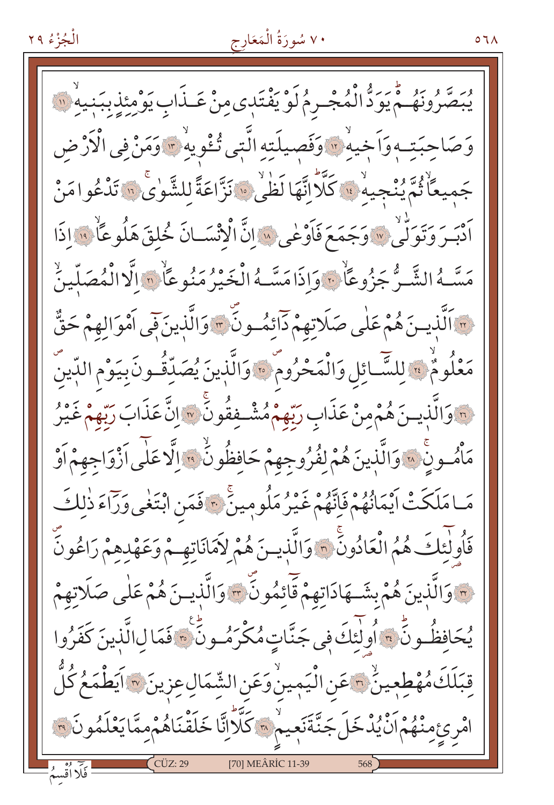### ٧٠ سُورَةُ الْمَعَارِج

مُّ يَرَدُّ الْمُجْـرِمُ لَوْ يَفْتَدِى مِنْ عَــذَابِ يَوْمِئِذِبِبَنِيهِ ۚ (" حبَتــه وَاَخِيهْ \* وَفَصيلَته الَّتِي تُـْوِيهْ \* وَمَنْ في الْأَرْضِ جَمِيعًا ثُمَّ يُنْجِيهِ ۚ ۚ وَكَّلَّا إِنَّهَا لَظٰيٰ ۚ وَا نَزَّاعَةً لِلشَّوٰى ۚ ۚ تَدْعُوا مَنْ .<br>اَدْبَـرَ وَتَوَلَّىٰ \* وَجَمَعَ فَاَوْغٰى \* إِنَّ الْإِنْسَــانَ خُلقَ هَلُوعَاٌ \* إِذَا مَسَّـهُ الشَّـرُّ جَزُوعًاۨ ۚ وَاذَامَسَّـهُ الْخَيْرُ مَنُو عَاْمِ الَّا الْمُصَلِّينُ (" الَّذِينَ هُمْ عَلَى صَلَاتِهِمْ دَائِمُونَ ۚ " وَالَّذِينَ فَي اَمْوَالِهِمْ حَقٌّ مَعْلُومٌ \* لِلسَّائِلِ وَالْمَحْرُومٌ \* وَالَّذِينَ يُصَدِّقُـونَ بِيَوْمِ الدِّينَ <u>لَّهَ وَالَّذِينَ هُمْ مِنْ عَذَابِ رَبِّهِمْ مُشْـفِقُونَ ۚ ﴾ إِنَّ عَذَابَ رَبِّهِمْ غَيْرُ</u> مَأْمُونٍ ۚ ۞ وَالَّذِينَ هُمْ لِفُرُوجِهِمْ حَافِظُونَّ ۞ إلَّا عَلَى أَزْوَاجِهِمْ أَوْ مَـامَلَكَتْ اَيْمَانُهُمْ فَاِنَّهُمْ غَيْرُ مَلُومِينٌ \* فَمَنِ ابْتَغٰى وَرَاءَ ذٰلِكَ فَأُولٰئِكَ هُمُ الْعَادُونَّ ٣ وَالَّذِينَ هُمْ لاَمَانَاتِهِمْ وَعَهْدِهِمْ رَاعُونَ والَّذِينَ هُمْ بِشَــهَادَاتِهِمْ قَائِمُونَ ۖ وَالَّذِيــنَ هُمْ عَلٰى صَلَاتِهِمْ ۖ يُحَافظُونَّ ، أُولٰئِكَ فِي جَنَّاتٍ مُكْرَمُـونَّ ، فَمَا لِالَّذِينَ كَفَرُوا قِبَلَكَ مُهْطِعِينٌ ٢ عَنِ الْيَمِينُ وَعَنِ الشَّمَالِ عِزِينَ ٣ آيَطْمَعُ كُلُّ امْرِئِ مِنْهُمْ اَنْ يُدْخَلَ جَنَّةَنَعِيمْ ﴾ كَلَّالِّنَا خَلَقْنَاهُمْ مِمَّا يَعْلَمُونَ ﴾ [70] MEÂRİC 11-39

۷٦۸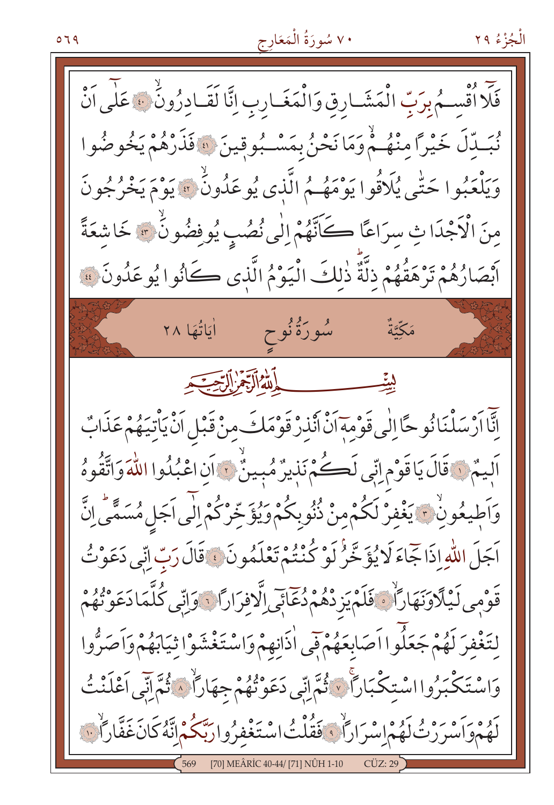٧٠ سُورَةُ الْمَعَارِج

فَلَّا أَقْسِمُ بِرَبِّ الْمَشَارِقِ وَالْمَغَـارِبِ إِنَّا لَقَـادِرُونَٰ ﴾ عَلٰى اَنْ نُبَـدّلَ خَيْرًا مِنْهُـمْ وَمَا نَحْنُ بِمَسْـبُوقِينَ ۞ فَذَرْهُمْ يَخُوصُوا وَيَلْعَبُوا حَتَّى يُلَاقُوا يَوْمَهُـمُ الَّذِي يُوعَدُونُ \* يَوْمَ يَخْرُجُونَ مِنَ الْأَجْدَا ثِ سرَاعًا كَانَّهُمْ اِلٰى نُصُبٍ يُوفِضُونَ \* خَاشِعَةً اَبْصَارُهُمْ تَرْهَقُهُمْ ذِلَّةٌ ذٰلِكَ الْيَوْمُ الَّذِي كَانُوا يُوعَدُونَ ۚ فَ الْمَسْتَمِنَ ۖ شورَةُنُوح أَيَاتُهَا ٢٨ مَكِّيَّةٌ الله الرَّخْرِ الرِّحِيَّ. اِنَّا اَرْسَلْنَا نُوحًا اِلٰى قَوْمِهَ اَنْ اَنْذِرْ قَوْمَكَ مِنْ قَبْلِ اَنْ يَأْتِيَهُمْ عَذَابٌ اَلِيمٌ ۚ لَا قَالَ يَا قَوْمِ اتِّي لَڪُمْ نَذِيرٌ مُبِينٌ ۚ لَا اِنَّ اعْبُدُوا اللَّهَ وَاتَّقُوهُ وَاَطِيعُونُ ﴾ يَغْفِرْ لَكُمْ مِنْ ذُنُوبِكُمْ وَيُؤَخِّرْكُمْ إِلَٰى اَجَلِ مُسَمَّى إِنَّ اَجَلَ اللَّهِ إِذَا جَّاءَ لَا يُؤَخَّرُ لَوْ كُنْتُمْ تَعْلَمُونَ ۚ ۚ قَالَ رَبِّ اِنِّي دَعَوْتُ قَوْمِي لَيْلَاوَنَهَارَاٌ ﴾ فَلَمْ يَزِدْهُمْ دُعَائِي الَّافِرَارَا ﴾ وَإِنِّي كُلَّمَا دَعَوْتُهُمْ لتَغْفرَ لَهُمْ جَعَلُوا اَصَابِعَهُمْ قِي اٰذَانِهِمْ وَاسْتَغْشَوْا ثِيَابَهُمْ وَاَصَرُّوا وَاسْتَكْبَرُوااسْتِكْبَاراً ﴾ ثُمَّ اتِّبِي دَعَوْتُهُمْ جِهَاراً ﴾ ثُمَّ اتِّبِي أَعْلَنْتُ لَهُمْوَاسْرَرْتُ لَهُمْ إِسْرَارَاْ دَفَقُلْتُ اسْتَغْفِرُوا رَبَّكُمْ إِنَّهُ كَانَ غَفَّارَاْتِ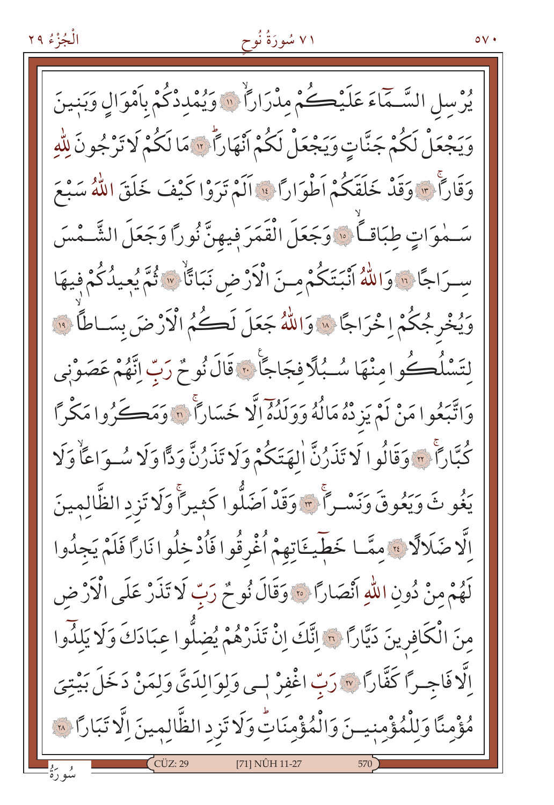۷۱ سُورَةُ نُوح

يُوسلِ السَّمَّاءَ عَلَيْكُمْ مِدْرَارًا ۚ وَيُمْدِدْكُمْ بِأَمْوَالِ وَبَنِينَ وَيَجْعَلْ لَكُمْ جَنَّاتٍ وَيَجْعَلْ لَكُمْ أَنْهَاراً لَا مَا لَكُمْ لَا تَرْجُونَ لِلّهِ وَقَاراً \* وَقَدْ خَلَقَكُمْ اَطْوَاراً \* اَلَمْ تَرَوْا كَيْفَ خَلَقَ اللَّهُ سَبْعَ سَـٰمُوَاتٍ طِبَاقـاً ۞ وَجَعَلَ الْقَمَرَ فِيهِنَّ نُوراً وَجَعَلَ الشَّـمْسَ سرَاجًا ۚ وَاللَّهُ أَنْبَتَكُمْ مِنَ الْأَرْضِ نَبَاتًاۙ ۚ ۚ ثُمَّ يُعِيدُكُمْ فِيهَا وَيُخْرِجُكُمْ إِخْرَاجًا ۚ ﴾ وَاللَّهُ جَعَلَ لَكُمُ الْأَرْضَ بِسَاطًّا ۚ ۚ وَ لتَسْلُڪُوامنْهَا سُـبُلَّا فجَاجَا ۚ ، قَالَ نُوحٌ رَبِّ اِنَّهُمْ عَصَوْنِي وَاتَّبَعُوا مَنْ لَمْ يَزِدْهُ مَالُهُ وَوَلَدُهُ إِلَّا خَسَاراً ۚ وَمَكَّرُوا مَكْراً كُبَّاراً ۚ ، وَقَالُوا لَا تَذَرُنَّ اٰلهَتَكُمْ وَلَا تَذَرُنَّ وَدًّا وَلَا سُوَاعَاْ وَلَا يَغُو تَ وَيَعُوقَ وَنَسْـراً \* وَقَدْ اَصَلُّوا كَثِيراً وَلَا تَزِدِ الظَّالِمِينَ اِلَّا ضَلَالًا ﴾ مِمَّا خَطِّيئَاتِهِمْ اُغْرِقُوا فَاُدْخِلُوا نَارًا فَلَمْ يَجِدُوا لَهُمْ مِنْ دُونِ اللَّهِ اَنْصَارًا ﴾ وَقَالَ نُوحٌ رَبِّ لَا تَذَرْ عَلَى الْأَرْضِ مِنَ الْكَافِرِينَ دَيَّارًا ۞ اِتَّكَ اِنْ تَذَرْهُمْ يُضِلُّوا عِبَادَكَ وَلَا يَلِلُّوا اِلَّا فَاجِيرًا كَفَّارًا ﴾ رَبِّ اغْفِرْ لِمِي وَلِوَالِدَيَّ وَلِمَنْ دَخَلَ بَيْتِيَ مُؤْمِنًا وَلِلْمُؤْمِنِيسَ وَالْمُؤْمِنَاتِ وَلَا تَزِدِ الظَّالِمِينَ اِلَّا تَبَارًا ۞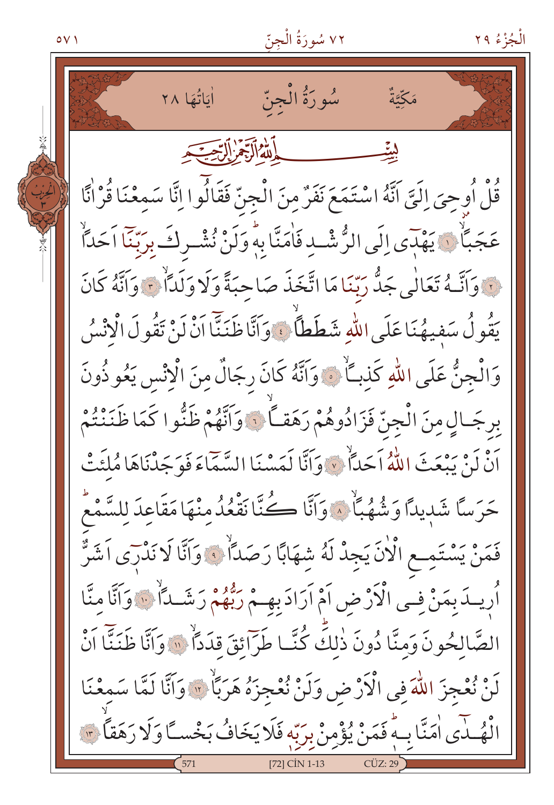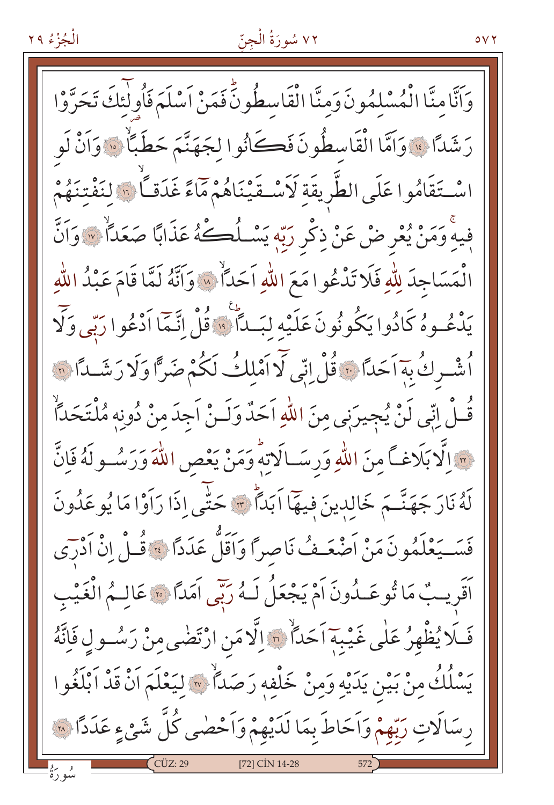## ٧٢ سُورَةُ الْجِنّ

وَاَنَّامِنَّا الْمُسْلِمُونَ وَمِنَّا الْقَاسِطُونَٰ فَمَنْ اَسْلَمَ فَأُولَٰئَكَ تَحَرَّوْا رَشَدًا ۚ وَاَمَّا الْقَاسِطُونَ فَكَانُوا لِجَهَنَّمَ حَطَبًاۨ ۚ وَاَنْ لَو اسْتَقَامُوا عَلَى الطَّرِيقَةِ لَأَسْتَقَيْنَاهُمْ مَاءً غَدَقـّاً ۞ لِنَفْتِنَهُمْ فِيهِ وَمَنْ يُعْرِضْ عَنْ ذِكْرِ رَبِّهِ يَسْـلُكَــهُ عَذَابًا صَعَدًا ۚ وَاَنَّ الْمَسَاجِدَ لِلَّهِ فَلَا تَدْعُوا مَعَ اللَّهِ اَحَدَّآ \* وَاَنَّهُ لَمَّا قَامَ عَبْدُ اللَّهِ يَدْعُوهُ كَادُوا يَكُونُونَ عَلَيْه لبَكَاً ۚ وَقُلْ إِنَّمَا اَدْعُوا رَبِّي وَلَا أُشْرِكُ بِهَاَحَدًا ۚ وَقُلْ إِنِّي لَّا اَمْلِكُ لَكُمْ ضَرًّا وَلَا رَشَــٰدًا ۞ قُـلْ إِنِّي لَنْ يُجِيرَنِي مِنَ اللّٰهِ اَحَدٌ وَلَـنْ اَجِدَ مِنْ دُونِه مُلْتَحَدّاً رِ وَإِلَّا بَلَاغِكَ مِنَ اللَّهِ وَرِسَــالَاتِهِ وَمَنْ يَعْصِ اللَّهَ وَرَسُــو لَهُ فَإِنَّ لَهُ نَارَ جَهَنَّمَ خَالِدِينَ فِيهَا اَبَدَّا \* حَتَّى إِذَا رَاَوْا مَا يُوعَدُونَ فَسَــيَعْلَمُونَ مَنْ أَصْعَـفُ نَاصِراً وَأَقَلَّ عَدَداً \* قُــلْ إِنْ أَدْرَى أَقَرِيبٌ مَا تُوعَـدُونَ أَمْ يَجْعَلُ لَـهُ رَبِّي أَمَدًا ۞ عَالِـمُ الْغَيْبِ فَلَا يُظْهِرُ عَلٰى غَيْبَةِ اَحَدَّاْ ﴾ اِلَّا مَنِ ارْتَضٰى مِنْ رَسُـولٍ فَإِنَّهُ يَسْلُكُ مِنْ بَيْنِ يَدَيْهِ وَمِنْ خَلْفِهِ رَصَدًا ۞ لِيَعْلَمَ اَنْ قَدْ اَبْلَغُوا رِسَالَاتِ رَبِّهِمْ وَاَحَاطَ بِمَا لَدَيْهِمْ وَاَحْصٰى كُلَّ شَيْءٍ عَدَدًا لِمَنَّ [72] CİN 14-28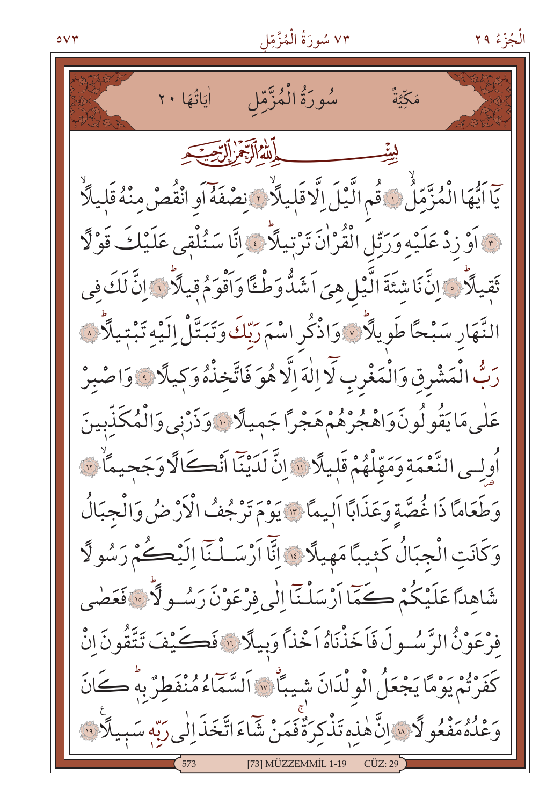## ٧٣ سُورَةُ الْمُزَّمِّل

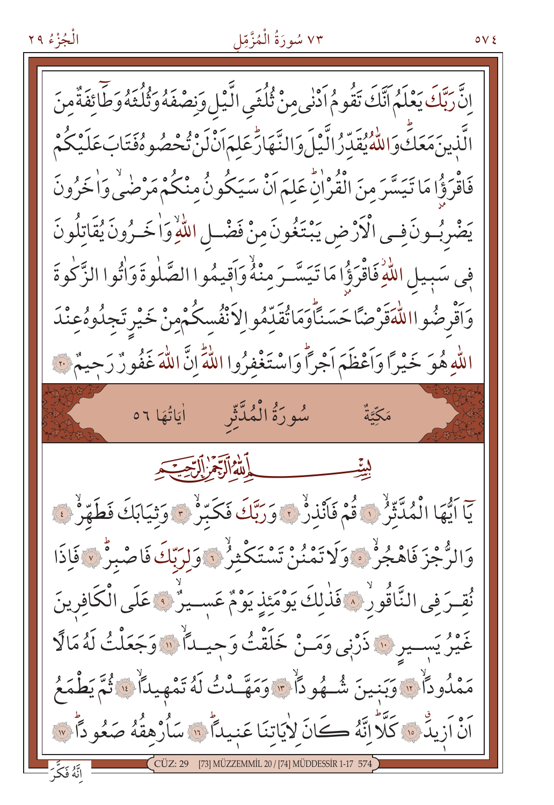## ٧٣ سُورَةُ الْمُزَّمِّل

اِنَّ رَبَّكَ يَعْلَمُ اَنَّكَ تَقُومُ اَدْنٰى مِنْ ثُلُثَى الَّيْلِ وَنِصْفَهُ وَثُلُثَهُ وَطَّائِفَةٌ مِنَ الَّذينَ مَعَكِّ وَاللّٰهُ يُقَدِّرُ الَّـْيَلَ وَالنَّـهَارَّٰعَلِمَ اَنْ لَنْ تُحْصُوهُ فَتَابَ عَلَيْكُمْ فَاقْرَؤُا مَا تَيَسَّرَ مِنَ الْقُرْاٰنِّ عَلِمَ اَنْ سَيَكُونُ مِنْكُمْ مَرْضَى وَاخَرُونَ يَضْرِبُونَ فِي الْأَرْضِ يَبْتَغُونَ مِنْ فَضْلِ اللَّهِ وَاخَـرُونَ يُقَاتِلُونَ فِي سَبِيلِ اللَّهِ فَاقْرَؤُا مَا تَيَسَّرَ مِنْهُ وَاَقِيمُوا الصَّلٰوةَ وَاٰتُوا الزَّكٰوةَ وَأَقْرِضُوااللَّهَقَرْضًا حَسَنَّأَوَمَاتُقَلِّمُوالِاَنْفُسِكُمْمِنْ خَيْرِ تَجِلُوهُعِنْدَ اللّهِ هُوَ خَيْرًا وَاَعْظَمَ اَجْرًا وَاسْتَغْفِرُوا اللّهِ إِنَّ اللّهَ غَفُورٌ رَجِيمٌ فَيْ مَكَّتَةٌ الله التحريات يَاۤ اَيُّهَا الْمُدَّثِّرُ ۞ قُمْ فَاَنْذِرُ ۞ وَرَبَّكَ فَكَبِّرُ ۞ وَثِيَابَكَ فَطَهَّرُ ۞ وَالرُّجْزَ فَاهْجُرُّ وَلَا تَمْنُنْ تَسْتَكْثِرُ ۚ وَلِرَبِّكَ فَاصْبِرُّ ۞ قَائَا نُقِـرَ فِي النَّاقُورُ ۞ فَذٰلِكَ يَوْمَئِذِ يَوْمٌ عَسِـيرُ ۞ عَلَى الْكَافِرِينَ غَيْرُ يَسِمِيرِ إِنَّهُ ذَرْبِي وَمَسْ خَلَقْتُ وَجِيلاً إِنَّهُ وَجَعَلْتُ لَهُ مَالًا مَمْلُوداً \* وَبَنِينَ شُهُوداً \* وَمَهَّدْتُ لَهُ تَمْهِيداً \* ثُمَّ يَطْمَعُ اَنْ اَزِيدُهُ وَالْكَلَّالِّنَّهُ كَانَ لِأَيَاتِنَا عَنِيداً مِنَّ سَأُرْهِقُهُ صَعُوداً مِنَّ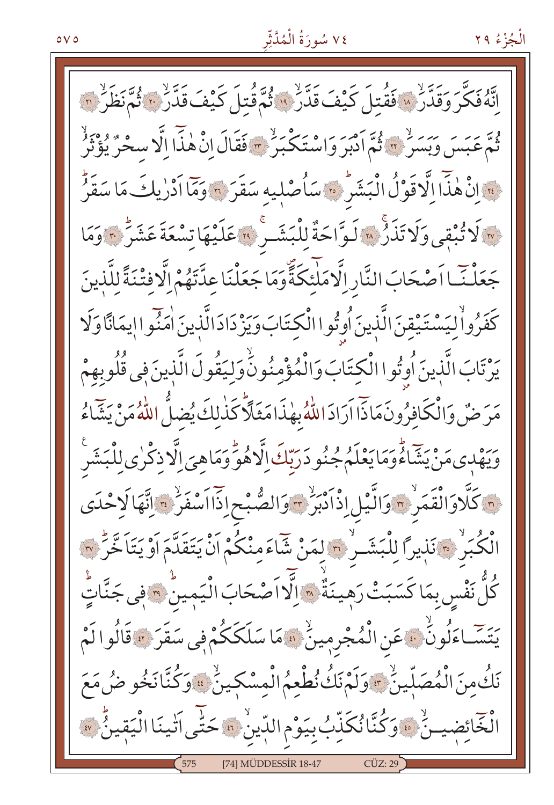## ٧٤ سُورَةُ الْمُدَّثِّر

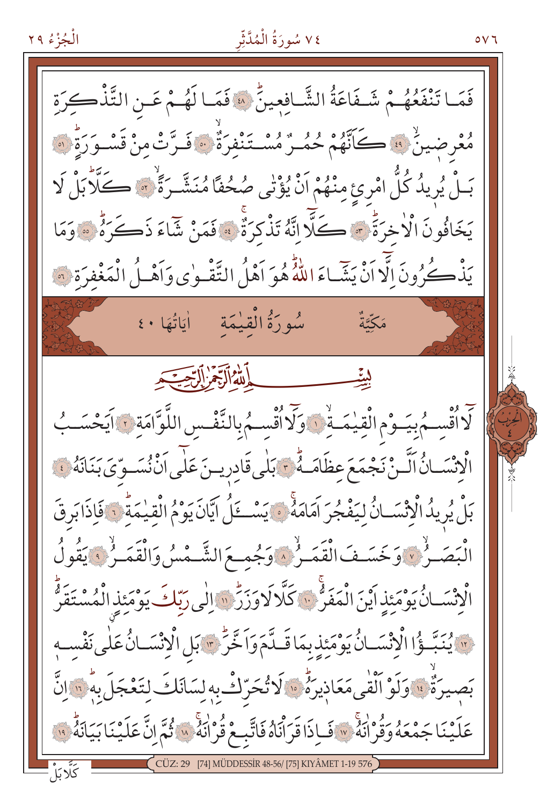# ٧٤ سُورَةُ الْمُدَّثِّر

 $\circ$   $\vee$  7

![](_page_15_Picture_2.jpeg)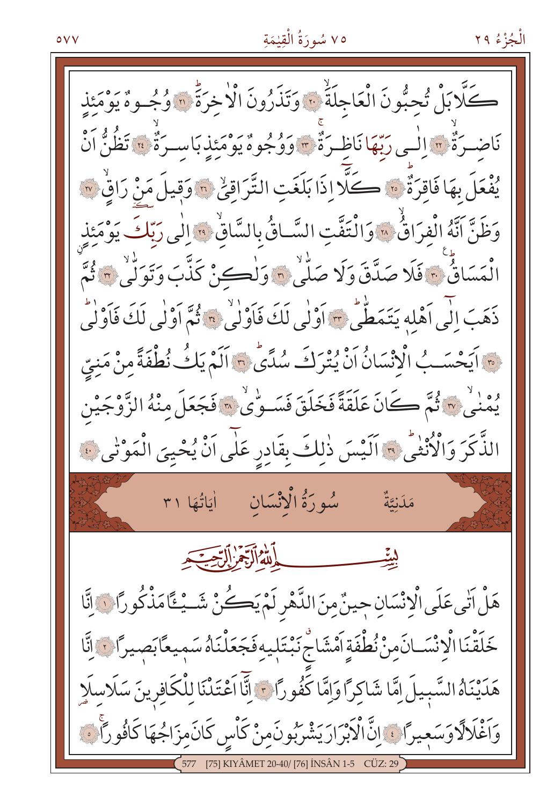## ٧٥ سُورَةُ الْقِيْمَةِ

كَلَّا بَلْ تُحِبُّونَ الْعَاجِلَةَ ۞ وَتَذَرُونَ الْاخِرَةَ ۞ وُجُـوهُ يَوْمَئِذِ نَاضِـرَةٌ ۞ اِلْـي رَبَّهَا نَاظِـرَةٌ ۞ وَوُجُوهٌ يَوْمَئِذِ بَاسـرَةٌ ۞ تَظُنُّ اَنْ يُفْعَلَ بِهَا فَاقِرَةٌ ۞ كَلَّا إِذَا بَلَغَتِ التَّرَاقِيِّ ۞ وَقِيلَ مَنْ رَاقٍ ۞ وَظَنَّ أَنَّهُ الْفِرَاقُ ۞ وَالْتَفَّتِ السَّاقُ بِالسَّاقُ ؟ إِلَى رَبِّكَ يَوْمَئِذِ الْمَسَاقٌ ۚ ﴾ فَلَا صَدَّقَ وَلَا صَلّٰى ۞ وَلْكِنْ كَذَّبَ وَتَوَلّٰى ؟ ثُمَّ ذَهَبَ إِلَى أَهْلِهِ يَتَمَطَّى ﴾ أَوْلَى لَكَ فَأَوْلَى \* فُمَّ أَوْلَى لَكَ فَأَوْلَى هِ ۚ إِيَحْسَـبُ الْانْسَانُ اَنْ يُتْرَكَ سُدَّى ۚ وَ اَلَمْ يَكُ نُطْفَةً مِنْ مَنِيِّ يُمني ٣ ثُمَّ كَانَ عَلَقَةً فَخَلَقَ فَسَـوِّي ٣ فَجَعَلَ مِنْهُ الزَّوْجَيْن الذَّكَرَ وَالْأُنْفَى \* اَلَيْسَ ذٰلِكَ بِقَادِرٍ عَلَى اَنْ يُحْيِيَ الْمَوْتَى ﴾ سُورَةُ الْإِنْسَانِ اٰيَاتُهَا ٣١ مَدَنتَّةٌ الله الرِّجُرْ إِلرِّجِيَجِ هَلْ آتِي عَلَى الْإِنْسَانِ حِينٌ مِنَ الدَّهْرِ لَمْ يَكُنْ شَــيْـتَّامَذْكُوراً ﴾ إنَّا خَلَقْنَا الْإِنْسَـانَ مِنْ نُطْفَةٍ اَمْشَاجْ نَبْتَلِيهِ فَجَعَلْنَاهُ سَمِيعًا بَصِيرًا فَ إِنَّا هَدَيْنَاهُ السَّبِيلَ اِمَّا شَاكِرًا وَاِمَّا كَفُورًا مِ ۚ إِنَّا اَعْتَدْنَا لِلْكَافِرِينَ سَلَاسِلَا وَاَغْلَالَاوَسَعِيرًا ﴾ إِنَّ الْأَبْرَارَ يَشْرَبُونَ مِنْ كَأْسٍ كَانَ مِزَاجُهَا كَافُورًا ﴾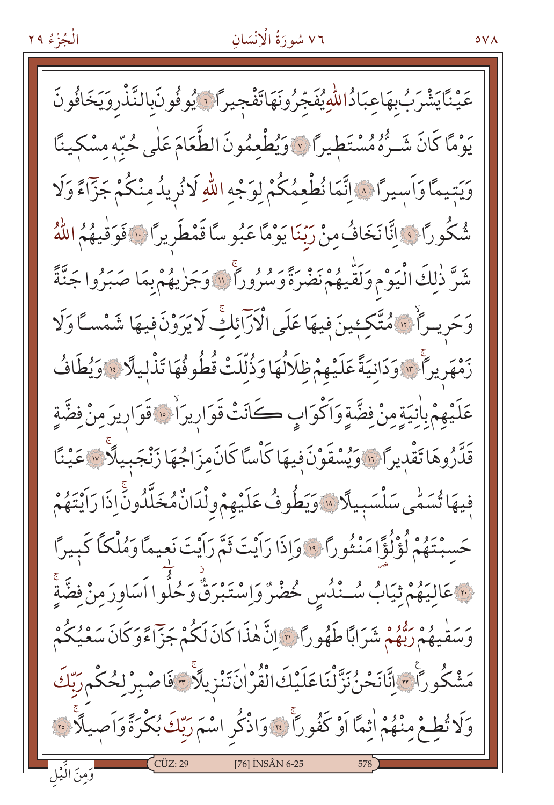#### ٧٦ سُورَةُ الْإِنْسَانِ

عَيْنَايَشْرَبُ بِهَاعِبَادُاللّٰهِ يُفَجّرُونَهَاتَفْجِيرًا ۚ يُوفُونَبالنَّذْرِوَيَخَافُونَ رْهُ مَّا كَانَ شَـرُّهُ مُسْتَطِيراً ۞ وَيُطْعِمُونَ الطَّعَامَ عَلٰى حُبَّهِ مِسْكِينًا وَيَتِيمًا وَأَسِيرًا ﴾ اِنَّمَا نُطْعِمُكُمْ لِوَجْهِ اللَّهِ لَا نُرِيدُ مِنْكُمْ جَزَّاءً وَلَا شُكُورًا فِي إِنَّا نَخَافُ مِنْ رَبِّنَا يَوْمًا عَبُوسًا قَمْطَرِيرًا فِي فَوَقْيِهُمُ اللَّهُ شَرَّ ذٰلِكَ الْيَوْمِ وَلَقَّيْهُمْ نَضْرَةً وَسُرُوراً ۚ "وَجَزْيِهُمْ بِمَا صَبَرُوا جَنَّةً وَحَرِيراً \* مُتَّكِئِينَ فِيهَا عَلَى الْأَرَائِكِ لَايَرَوْنَ فِيهَا شَمْسـًّا وَلَا رَّمْهَرِيراً \*\*\* وَدَانِيَةً عَلَيْهِمْ ظِلَالُهَا وَذُلِّلَتْ قُطُوفُهَا تَذْلِيلًا \*\* وَيُطَافُ عَلَيْهِمْ بِاٰنِيَةٍ مِنْ فِضَّةٍ وَأَكْوَابٍ كَانَتْ قَوَارِيرَاْتٍ قَوَارِيرَ مِنْ فِضَّةِ قَدَّرُوهَا تَقْدِيرًا ۚ إِنَّهُ وَيُسْقَوْنَ فِيهَا كَأْسًا كَانَ مِزَاجُهَا زَنْجَبِيلًا ۚ ﴾ عَيْنًا فِيهَا تُسَمِّى سَلْسَبِيلًا » وَيَطُوفُ عَلَيْهِمْ وِلْدَانٌ مُخَلَّدُونِّ إِذَا رَايْتَهُمْ حَسِبْتَهُمْ لُؤْلُؤًا مَنْثُورًا ۚ وَإِذَا رَاَيْتَ ثَمَّ رَاَيْتَ نَعِيمًا وَمُلْكًا كَبِيرًا <u>َ عَ</u>الِيَهُمْ ثِيَابُ سُــْنُدُسِ خُضْرٌ وَاِسْتَبْرَقٌ وَحُلُّوا اَسَاوِرَمِنْ فضَّةً عَ مَدْيُّهُمْ رَبُّهُمْ شَرَابًا طَهُورًا ۞ إِنَّ هٰذَا كَانَ لَكُمْ جَزَّاءًوَكَانَ سَعْيُكُمْ ۖ مَشْكُوراً وَانَّانَحْنُ نَزَّلْنَاعَلَيْكَ الْقُرْانَ تَنْزِيلَاً وَفَاصْبِرْ لِحُكْمِرَبِّكَ وَلَا تُطِعْ مِنْهُمْ اٰثِمَّا اَوْ كَفُوراً ۚ ﴾ وَاذْكُر اسْمَ رَبِّكَ بُكْرَةً وَاَصِيلًا ۚ ﴾ [76] INSÂN 6-25

 $\circ \vee \wedge$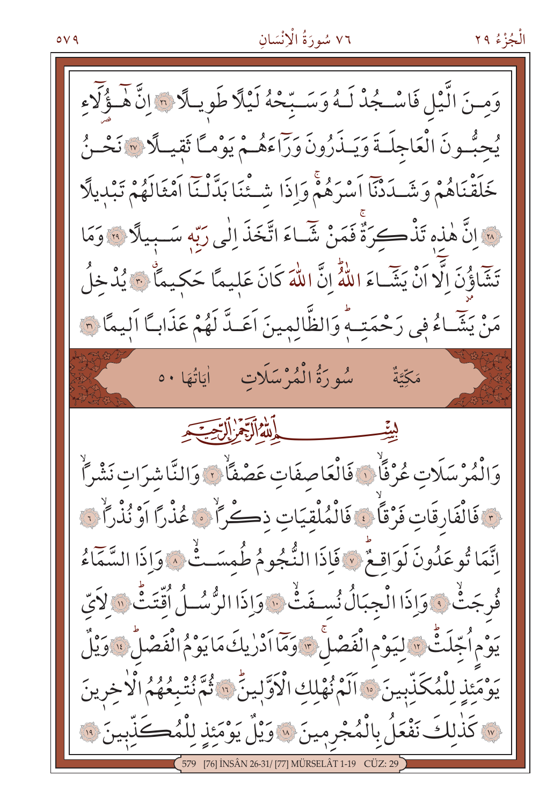#### ٧٦ سُورَةُ الْإِنْسَانِ

![](_page_18_Picture_2.jpeg)